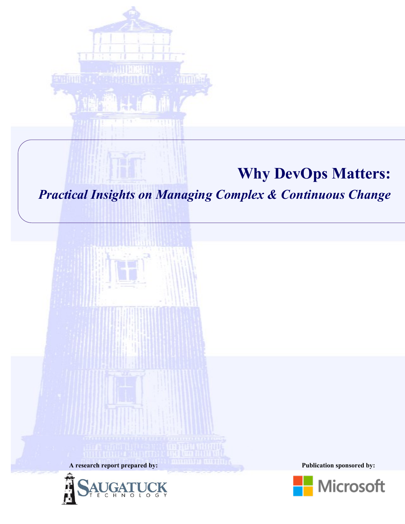

# **Why DevOps Matters:**

*Practical Insights on Managing Complex & Continuous Change*





**A research report prepared by: Publication sponsored by:**

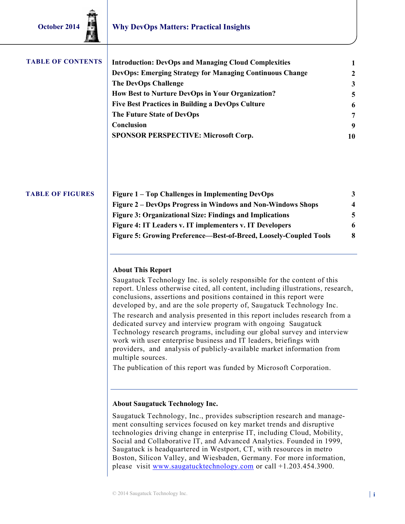| <b>TABLE OF CONTENTS</b> | <b>Introduction: DevOps and Managing Cloud Complexities</b>     |              |
|--------------------------|-----------------------------------------------------------------|--------------|
|                          | <b>DevOps: Emerging Strategy for Managing Continuous Change</b> | $\mathbf{2}$ |
|                          | <b>The DevOps Challenge</b>                                     | 3            |
|                          | How Best to Nurture DevOps in Your Organization?                | 5            |
|                          | <b>Five Best Practices in Building a DevOps Culture</b>         | 6            |
|                          | The Future State of DevOps                                      | 7            |
|                          | Conclusion                                                      | 9            |
|                          | <b>SPONSOR PERSPECTIVE: Microsoft Corp.</b>                     | 10           |
|                          |                                                                 |              |

#### **TABLE OF FIGURES**

| Figure 1 – Top Challenges in Implementing DevOps                  |   |
|-------------------------------------------------------------------|---|
| Figure 2 – DevOps Progress in Windows and Non-Windows Shops       | 4 |
| <b>Figure 3: Organizational Size: Findings and Implications</b>   | 5 |
| Figure 4: IT Leaders v. IT implementers v. IT Developers          | 6 |
| Figure 5: Growing Preference—Best-of-Breed, Loosely-Coupled Tools | 8 |

#### **About This Report**

Saugatuck Technology Inc. is solely responsible for the content of this report. Unless otherwise cited, all content, including illustrations, research, conclusions, assertions and positions contained in this report were developed by, and are the sole property of, Saugatuck Technology Inc. The research and analysis presented in this report includes research from a dedicated survey and interview program with ongoing Saugatuck Technology research programs, including our global survey and interview work with user enterprise business and IT leaders, briefings with providers, and analysis of publicly-available market information from multiple sources.

The publication of this report was funded by Microsoft Corporation.

#### **About Saugatuck Technology Inc.**

Saugatuck Technology, Inc., provides subscription research and management consulting services focused on key market trends and disruptive technologies driving change in enterprise IT, including Cloud, Mobility, Social and Collaborative IT, and Advanced Analytics. Founded in 1999, Saugatuck is headquartered in Westport, CT, with resources in metro Boston, Silicon Valley, and Wiesbaden, Germany. For more information, please visit [www.saugatucktechnology.com](http://www.saugatucktechnology.com) or call +1.203.454.3900.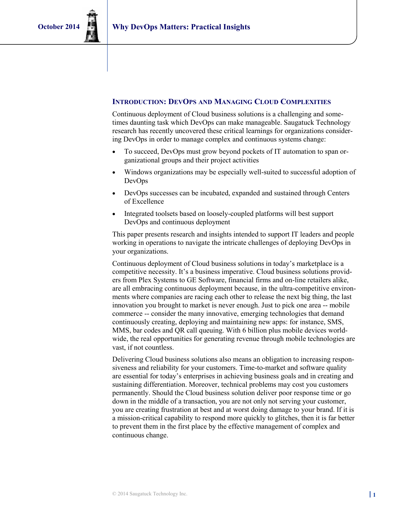#### **INTRODUCTION: DEVOPS AND MANAGING CLOUD COMPLEXITIES**

Continuous deployment of Cloud business solutions is a challenging and sometimes daunting task which DevOps can make manageable. Saugatuck Technology research has recently uncovered these critical learnings for organizations considering DevOps in order to manage complex and continuous systems change:

- To succeed, DevOps must grow beyond pockets of IT automation to span organizational groups and their project activities
- Windows organizations may be especially well-suited to successful adoption of DevOps
- DevOps successes can be incubated, expanded and sustained through Centers of Excellence
- Integrated toolsets based on loosely-coupled platforms will best support DevOps and continuous deployment

This paper presents research and insights intended to support IT leaders and people working in operations to navigate the intricate challenges of deploying DevOps in your organizations.

Continuous deployment of Cloud business solutions in today's marketplace is a competitive necessity. It's a business imperative. Cloud business solutions providers from Plex Systems to GE Software, financial firms and on-line retailers alike, are all embracing continuous deployment because, in the ultra-competitive environments where companies are racing each other to release the next big thing, the last innovation you brought to market is never enough. Just to pick one area -- mobile commerce -- consider the many innovative, emerging technologies that demand continuously creating, deploying and maintaining new apps: for instance, SMS, MMS, bar codes and QR call queuing. With 6 billion plus mobile devices worldwide, the real opportunities for generating revenue through mobile technologies are vast, if not countless.

Delivering Cloud business solutions also means an obligation to increasing responsiveness and reliability for your customers. Time-to-market and software quality are essential for today's enterprises in achieving business goals and in creating and sustaining differentiation. Moreover, technical problems may cost you customers permanently. Should the Cloud business solution deliver poor response time or go down in the middle of a transaction, you are not only not serving your customer, you are creating frustration at best and at worst doing damage to your brand. If it is a mission-critical capability to respond more quickly to glitches, then it is far better to prevent them in the first place by the effective management of complex and continuous change.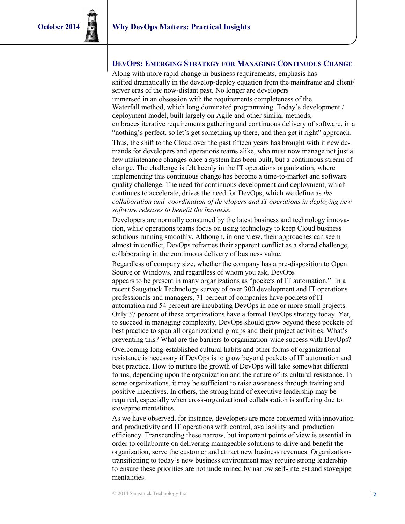#### **DEVOPS: EMERGING STRATEGY FOR MANAGING CONTINUOUS CHANGE**

Along with more rapid change in business requirements, emphasis has shifted dramatically in the develop-deploy equation from the mainframe and client/ server eras of the now-distant past. No longer are developers immersed in an obsession with the requirements completeness of the Waterfall method, which long dominated programming. Today's development / deployment model, built largely on Agile and other similar methods, embraces iterative requirements gathering and continuous delivery of software, in a "nothing's perfect, so let's get something up there, and then get it right" approach.

Thus, the shift to the Cloud over the past fifteen years has brought with it new demands for developers and operations teams alike, who must now manage not just a few maintenance changes once a system has been built, but a continuous stream of change. The challenge is felt keenly in the IT operations organization, where implementing this continuous change has become a time-to-market and software quality challenge. The need for continuous development and deployment, which continues to accelerate, drives the need for DevOps, which we define as *the collaboration and coordination of developers and IT operations in deploying new software releases to benefit the business.* 

Developers are normally consumed by the latest business and technology innovation, while operations teams focus on using technology to keep Cloud business solutions running smoothly. Although, in one view, their approaches can seem almost in conflict, DevOps reframes their apparent conflict as a shared challenge, collaborating in the continuous delivery of business value.

Regardless of company size, whether the company has a pre-disposition to Open Source or Windows, and regardless of whom you ask, DevOps appears to be present in many organizations as "pockets of IT automation." In a recent Saugatuck Technology survey of over 300 development and IT operations professionals and managers, 71 percent of companies have pockets of IT automation and 54 percent are incubating DevOps in one or more small projects. Only 37 percent of these organizations have a formal DevOps strategy today. Yet, to succeed in managing complexity, DevOps should grow beyond these pockets of best practice to span all organizational groups and their project activities. What's preventing this? What are the barriers to organization-wide success with DevOps? Overcoming long-established cultural habits and other forms of organizational resistance is necessary if DevOps is to grow beyond pockets of IT automation and best practice. How to nurture the growth of DevOps will take somewhat different forms, depending upon the organization and the nature of its cultural resistance. In some organizations, it may be sufficient to raise awareness through training and positive incentives. In others, the strong hand of executive leadership may be required, especially when cross-organizational collaboration is suffering due to stovepipe mentalities.

As we have observed, for instance, developers are more concerned with innovation and productivity and IT operations with control, availability and production efficiency. Transcending these narrow, but important points of view is essential in order to collaborate on delivering manageable solutions to drive and benefit the organization, serve the customer and attract new business revenues. Organizations transitioning to today's new business environment may require strong leadership to ensure these priorities are not undermined by narrow self-interest and stovepipe mentalities.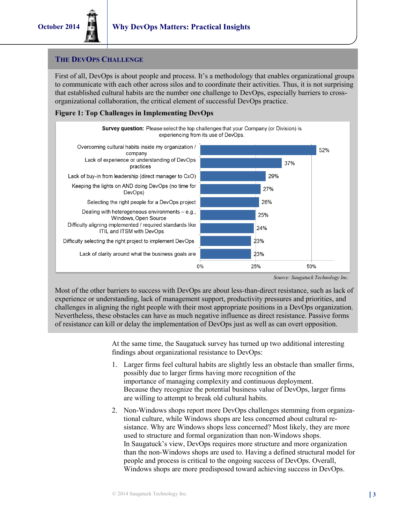#### **THE DEVOPS CHALLENGE**

First of all, DevOps is about people and process. It's a methodology that enables organizational groups to communicate with each other across silos and to coordinate their activities. Thus, it is not surprising that established cultural habits are the number one challenge to DevOps, especially barriers to crossorganizational collaboration, the critical element of successful DevOps practice.

#### **Figure 1: Top Challenges in Implementing DevOps**



*Source: Saugatuck Technology Inc.*

Most of the other barriers to success with DevOps are about less-than-direct resistance, such as lack of experience or understanding, lack of management support, productivity pressures and priorities, and challenges in aligning the right people with their most appropriate positions in a DevOps organization. Nevertheless, these obstacles can have as much negative influence as direct resistance. Passive forms of resistance can kill or delay the implementation of DevOps just as well as can overt opposition.

> At the same time, the Saugatuck survey has turned up two additional interesting findings about organizational resistance to DevOps:

- 1. Larger firms feel cultural habits are slightly less an obstacle than smaller firms, possibly due to larger firms having more recognition of the importance of managing complexity and continuous deployment. Because they recognize the potential business value of DevOps, larger firms are willing to attempt to break old cultural habits.
- 2. Non-Windows shops report more DevOps challenges stemming from organizational culture, while Windows shops are less concerned about cultural resistance. Why are Windows shops less concerned? Most likely, they are more used to structure and formal organization than non-Windows shops. In Saugatuck's view, DevOps requires more structure and more organization than the non-Windows shops are used to. Having a defined structural model for people and process is critical to the ongoing success of DevOps. Overall, Windows shops are more predisposed toward achieving success in DevOps.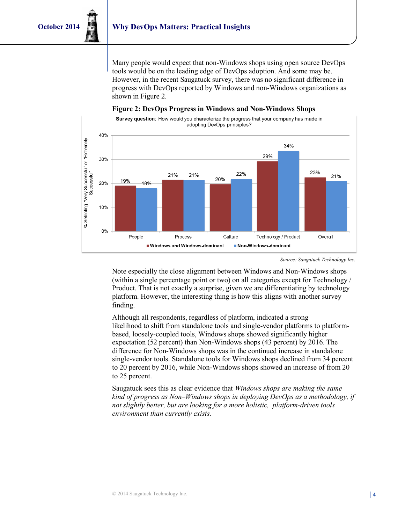Many people would expect that non-Windows shops using open source DevOps tools would be on the leading edge of DevOps adoption. And some may be. However, in the recent Saugatuck survey, there was no significant difference in progress with DevOps reported by Windows and non-Windows organizations as shown in Figure 2.



#### **Figure 2: DevOps Progress in Windows and Non-Windows Shops**

Note especially the close alignment between Windows and Non-Windows shops (within a single percentage point or two) on all categories except for Technology / Product. That is not exactly a surprise, given we are differentiating by technology platform. However, the interesting thing is how this aligns with another survey finding.

Although all respondents, regardless of platform, indicated a strong likelihood to shift from standalone tools and single-vendor platforms to platformbased, loosely-coupled tools, Windows shops showed significantly higher expectation (52 percent) than Non-Windows shops (43 percent) by 2016. The difference for Non-Windows shops was in the continued increase in standalone single-vendor tools. Standalone tools for Windows shops declined from 34 percent to 20 percent by 2016, while Non-Windows shops showed an increase of from 20 to 25 percent.

Saugatuck sees this as clear evidence that *Windows shops are making the same kind of progress as Non–Windows shops in deploying DevOps as a methodology, if not slightly better, but are looking for a more holistic, platform-driven tools environment than currently exists.* 

*Source: Saugatuck Technology Inc.*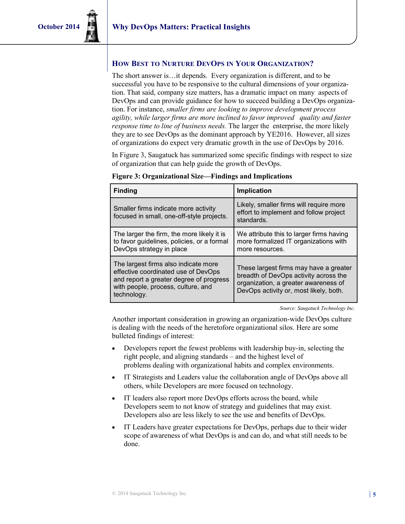#### **HOW BEST TO NURTURE DEVOPS IN YOUR ORGANIZATION?**

The short answer is…it depends. Every organization is different, and to be successful you have to be responsive to the cultural dimensions of your organization. That said, company size matters, has a dramatic impact on many aspects of DevOps and can provide guidance for how to succeed building a DevOps organization. For instance, *smaller firms are looking to improve development process agility, while larger firms are more inclined to favor improved quality and faster response time to line of business needs.* The larger the enterprise, the more likely they are to see DevOps as the dominant approach by YE2016. However, all sizes of organizations do expect very dramatic growth in the use of DevOps by 2016.

In Figure 3, Saugatuck has summarized some specific findings with respect to size of organization that can help guide the growth of DevOps.

| <b>Finding</b>                                                                                                                                                              | <b>Implication</b>                                                                                                                                                |  |
|-----------------------------------------------------------------------------------------------------------------------------------------------------------------------------|-------------------------------------------------------------------------------------------------------------------------------------------------------------------|--|
| Smaller firms indicate more activity<br>focused in small, one-off-style projects.                                                                                           | Likely, smaller firms will require more<br>effort to implement and follow project<br>standards.                                                                   |  |
| The larger the firm, the more likely it is<br>to favor guidelines, policies, or a formal<br>DevOps strategy in place                                                        | We attribute this to larger firms having<br>more formalized IT organizations with<br>more resources.                                                              |  |
| The largest firms also indicate more<br>effective coordinated use of DevOps<br>and report a greater degree of progress<br>with people, process, culture, and<br>technology. | These largest firms may have a greater<br>breadth of DevOps activity across the<br>organization, a greater awareness of<br>DevOps activity or, most likely, both. |  |

#### **Figure 3: Organizational Size—Findings and Implications**

*Source: Saugatuck Technology Inc.*

Another important consideration in growing an organization-wide DevOps culture is dealing with the needs of the heretofore organizational silos. Here are some bulleted findings of interest:

- Developers report the fewest problems with leadership buy-in, selecting the right people, and aligning standards – and the highest level of problems dealing with organizational habits and complex environments.
- IT Strategists and Leaders value the collaboration angle of DevOps above all others, while Developers are more focused on technology.
- IT leaders also report more DevOps efforts across the board, while Developers seem to not know of strategy and guidelines that may exist. Developers also are less likely to see the use and benefits of DevOps.
- IT Leaders have greater expectations for DevOps, perhaps due to their wider scope of awareness of what DevOps is and can do, and what still needs to be done.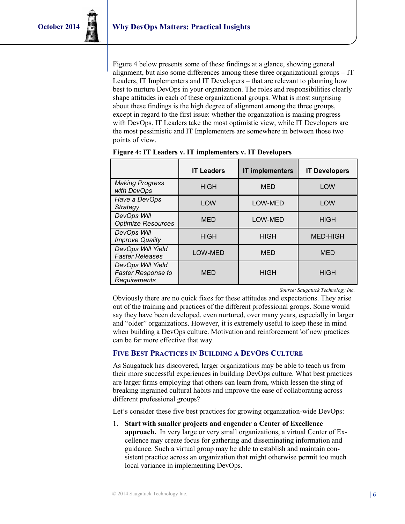Figure 4 below presents some of these findings at a glance, showing general alignment, but also some differences among these three organizational groups – IT Leaders, IT Implementers and IT Developers – that are relevant to planning how best to nurture DevOps in your organization. The roles and responsibilities clearly shape attitudes in each of these organizational groups. What is most surprising about these findings is the high degree of alignment among the three groups, except in regard to the first issue: whether the organization is making progress with DevOps. IT Leaders take the most optimistic view, while IT Developers are the most pessimistic and IT Implementers are somewhere in between those two points of view.

|                                                                       | <b>IT Leaders</b> | <b>IT implementers</b> | <b>IT Developers</b> |
|-----------------------------------------------------------------------|-------------------|------------------------|----------------------|
| <b>Making Progress</b><br>with DevOps                                 | <b>HIGH</b>       | <b>MED</b>             | LOW                  |
| Have a DevOps<br><b>Strategy</b>                                      | <b>LOW</b>        | LOW-MED                | LOW                  |
| DevOps Will<br><b>Optimize Resources</b>                              | <b>MED</b>        | LOW-MED                | <b>HIGH</b>          |
| DevOps Will<br><b>Improve Quality</b>                                 | <b>HIGH</b>       | <b>HIGH</b>            | <b>MED-HIGH</b>      |
| DevOps Will Yield<br><b>Faster Releases</b>                           | LOW-MED           | MED                    | <b>MED</b>           |
| DevOps Will Yield<br><b>Faster Response to</b><br><b>Requirements</b> | <b>MED</b>        | <b>HIGH</b>            | <b>HIGH</b>          |

*Source: Saugatuck Technology Inc.*

Obviously there are no quick fixes for these attitudes and expectations. They arise out of the training and practices of the different professional groups. Some would say they have been developed, even nurtured, over many years, especially in larger and "older" organizations. However, it is extremely useful to keep these in mind when building a DevOps culture. Motivation and reinforcement \of new practices can be far more effective that way.

#### **FIVE BEST PRACTICES IN BUILDING A DEVOPS CULTURE**

As Saugatuck has discovered, larger organizations may be able to teach us from their more successful experiences in building DevOps culture. What best practices are larger firms employing that others can learn from, which lessen the sting of breaking ingrained cultural habits and improve the ease of collaborating across different professional groups?

Let's consider these five best practices for growing organization-wide DevOps:

1. **Start with smaller projects and engender a Center of Excellence approach.** In very large or very small organizations, a virtual Center of Excellence may create focus for gathering and disseminating information and guidance. Such a virtual group may be able to establish and maintain consistent practice across an organization that might otherwise permit too much local variance in implementing DevOps.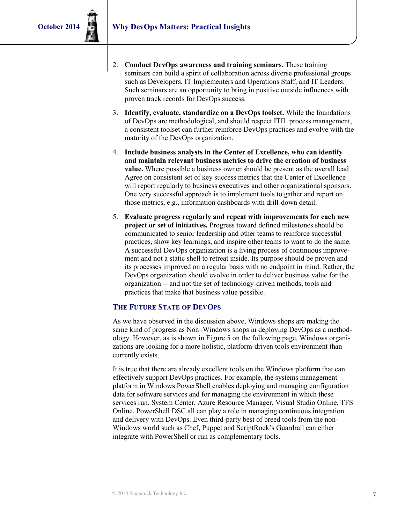- 2. **Conduct DevOps awareness and training seminars.** These training seminars can build a spirit of collaboration across diverse professional groups such as Developers, IT Implementers and Operations Staff, and IT Leaders. Such seminars are an opportunity to bring in positive outside influences with proven track records for DevOps success.
- 3. **Identify, evaluate, standardize on a DevOps toolset.** While the foundations of DevOps are methodological, and should respect ITIL process management, a consistent toolset can further reinforce DevOps practices and evolve with the maturity of the DevOps organization.
- 4. **Include business analysts in the Center of Excellence, who can identify and maintain relevant business metrics to drive the creation of business value.** Where possible a business owner should be present as the overall lead Agree on consistent set of key success metrics that the Center of Excellence will report regularly to business executives and other organizational sponsors. One very successful approach is to implement tools to gather and report on those metrics, e.g., information dashboards with drill-down detail.
- 5. **Evaluate progress regularly and repeat with improvements for each new project or set of initiatives.** Progress toward defined milestones should be communicated to senior leadership and other teams to reinforce successful practices, show key learnings, and inspire other teams to want to do the same. A successful DevOps organization is a living process of continuous improvement and not a static shell to retreat inside. Its purpose should be proven and its processes improved on a regular basis with no endpoint in mind. Rather, the DevOps organization should evolve in order to deliver business value for the organization -- and not the set of technology-driven methods, tools and practices that make that business value possible.

#### **THE FUTURE STATE OF DEVOPS**

As we have observed in the discussion above, Windows shops are making the same kind of progress as Non–Windows shops in deploying DevOps as a methodology. However, as is shown in Figure 5 on the following page, Windows organizations are looking for a more holistic, platform-driven tools environment than currently exists.

It is true that there are already excellent tools on the Windows platform that can effectively support DevOps practices. For example, the systems management platform in Windows PowerShell enables deploying and managing configuration data for software services and for managing the environment in which these services run. System Center, Azure Resource Manager, Visual Studio Online, TFS Online, PowerShell DSC all can play a role in managing continuous integration and delivery with DevOps. Even third-party best of breed tools from the non-Windows world such as Chef, Puppet and ScriptRock's Guardrail can either integrate with PowerShell or run as complementary tools.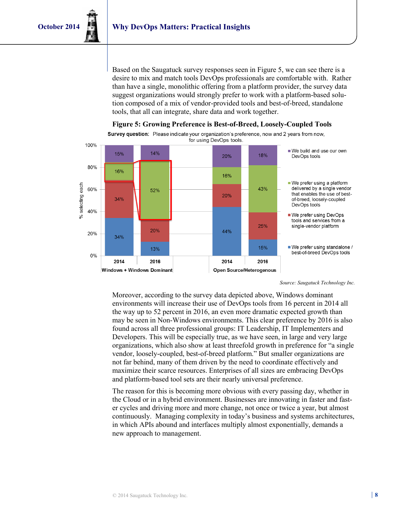Based on the Saugatuck survey responses seen in Figure 5, we can see there is a desire to mix and match tools DevOps professionals are comfortable with. Rather than have a single, monolithic offering from a platform provider, the survey data suggest organizations would strongly prefer to work with a platform-based solution composed of a mix of vendor-provided tools and best-of-breed, standalone tools, that all can integrate, share data and work together.





Survey question: Please indicate your organization's preference, now and 2 years from now. for using DevOps tools.

*Source: Saugatuck Technology Inc.*

Moreover, according to the survey data depicted above, Windows dominant environments will increase their use of DevOps tools from 16 percent in 2014 all the way up to 52 percent in 2016, an even more dramatic expected growth than may be seen in Non-Windows environments. This clear preference by 2016 is also found across all three professional groups: IT Leadership, IT Implementers and Developers. This will be especially true, as we have seen, in large and very large organizations, which also show at least threefold growth in preference for "a single vendor, loosely-coupled, best-of-breed platform." But smaller organizations are not far behind, many of them driven by the need to coordinate effectively and maximize their scarce resources. Enterprises of all sizes are embracing DevOps and platform-based tool sets are their nearly universal preference.

The reason for this is becoming more obvious with every passing day, whether in the Cloud or in a hybrid environment. Businesses are innovating in faster and faster cycles and driving more and more change, not once or twice a year, but almost continuously. Managing complexity in today's business and systems architectures, in which APIs abound and interfaces multiply almost exponentially, demands a new approach to management.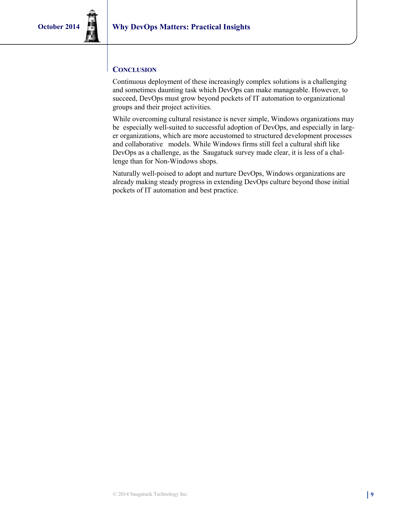#### **CONCLUSION**

Continuous deployment of these increasingly complex solutions is a challenging and sometimes daunting task which DevOps can make manageable. However, to succeed, DevOps must grow beyond pockets of IT automation to organizational groups and their project activities.

While overcoming cultural resistance is never simple, Windows organizations may be especially well-suited to successful adoption of DevOps, and especially in larger organizations, which are more accustomed to structured development processes and collaborative models. While Windows firms still feel a cultural shift like DevOps as a challenge, as the Saugatuck survey made clear, it is less of a challenge than for Non-Windows shops.

Naturally well-poised to adopt and nurture DevOps, Windows organizations are already making steady progress in extending DevOps culture beyond those initial pockets of IT automation and best practice.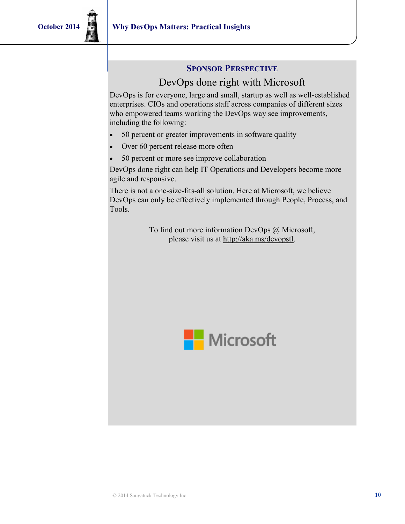### **SPONSOR PERSPECTIVE**

## DevOps done right with Microsoft

DevOps is for everyone, large and small, startup as well as well-established enterprises. CIOs and operations staff across companies of different sizes who empowered teams working the DevOps way see improvements, including the following:

- 50 percent or greater improvements in software quality
- Over 60 percent release more often
- 50 percent or more see improve collaboration

DevOps done right can help IT Operations and Developers become more agile and responsive.

There is not a one-size-fits-all solution. Here at Microsoft, we believe DevOps can only be effectively implemented through People, Process, and Tools.

> To find out more information DevOps @ Microsoft, please visit us at http://aka.ms/devopstl.